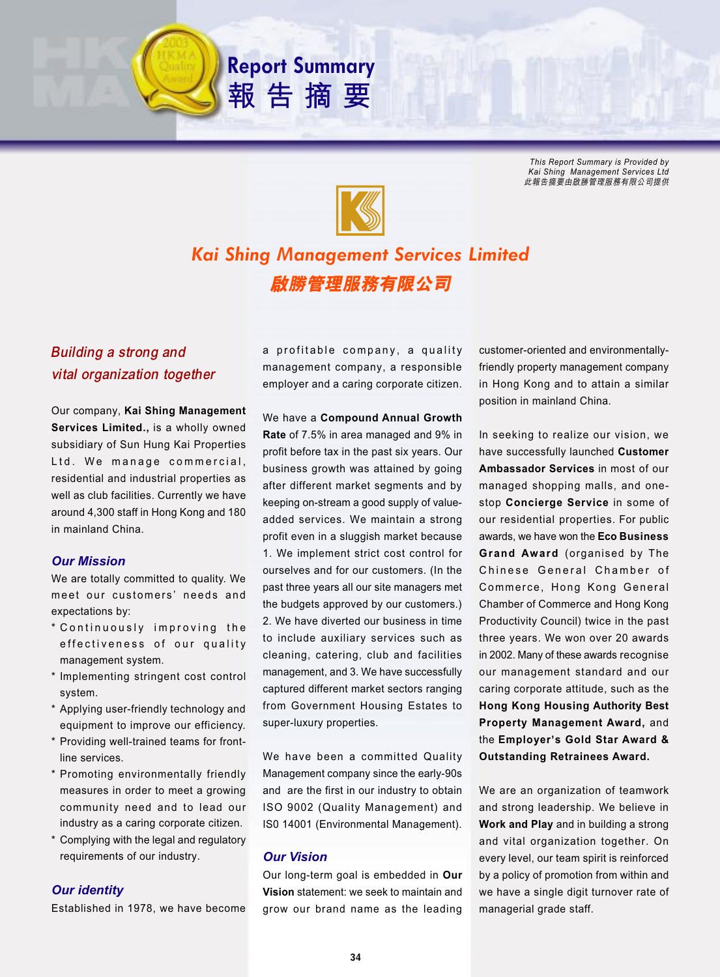*This Report Summary is Provided by Kai Shing Management Services Ltd* 此報告摘要由啟勝管理服務有限公司提供



**Report Summary**

報告摘要

# *Kai Shing Management Services Limited* 啟勝管理服務有限公司

# Building a strong and vital organization together

Our company, **Kai Shing Management Services Limited.,** is a wholly owned subsidiary of Sun Hung Kai Properties Ltd. We manage commercial, residential and industrial properties as well as club facilities. Currently we have around 4,300 staff in Hong Kong and 180 in mainland China.

# *Our Mission*

We are totally committed to quality. We meet our customers' needs and expectations by:

- \* Continuously improving the effectiveness of our quality management system.
- \* Implementing stringent cost control system.
- \* Applying user-friendly technology and equipment to improve our efficiency.
- \* Providing well-trained teams for frontline services.
- \* Promoting environmentally friendly measures in order to meet a growing community need and to lead our industry as a caring corporate citizen.
- \* Complying with the legal and regulatory requirements of our industry.

# *Our identity*

Established in 1978, we have become

a profitable company, a quality management company, a responsible employer and a caring corporate citizen.

We have a **Compound Annual Growth Rate** of 7.5% in area managed and 9% in profit before tax in the past six years. Our business growth was attained by going after different market segments and by keeping on-stream a good supply of valueadded services. We maintain a strong profit even in a sluggish market because 1. We implement strict cost control for ourselves and for our customers. (In the past three years all our site managers met the budgets approved by our customers.) 2. We have diverted our business in time to include auxiliary services such as cleaning, catering, club and facilities management, and 3. We have successfully captured different market sectors ranging from Government Housing Estates to super-luxury properties.

We have been a committed Quality Management company since the early-90s and are the first in our industry to obtain ISO 9002 (Quality Management) and IS0 14001 (Environmental Management).

# *Our Vision*

Our long-term goal is embedded in **Our Vision** statement: we seek to maintain and grow our brand name as the leading

customer-oriented and environmentallyfriendly property management company in Hong Kong and to attain a similar position in mainland China.

In seeking to realize our vision, we have successfully launched **Customer Ambassador Services** in most of our managed shopping malls, and onestop **Concierge Service** in some of our residential properties. For public awards, we have won the **Eco Business Grand Award** (organised by The Chinese General Chamber of Commerce, Hong Kong General Chamber of Commerce and Hong Kong Productivity Council) twice in the past three years. We won over 20 awards in 2002. Many of these awards recognise our management standard and our caring corporate attitude, such as the **Hong Kong Housing Authority Best Property Management Award,** and the **Employer's Gold Star Award & Outstanding Retrainees Award.**

We are an organization of teamwork and strong leadership. We believe in **Work and Play** and in building a strong and vital organization together. On every level, our team spirit is reinforced by a policy of promotion from within and we have a single digit turnover rate of managerial grade staff.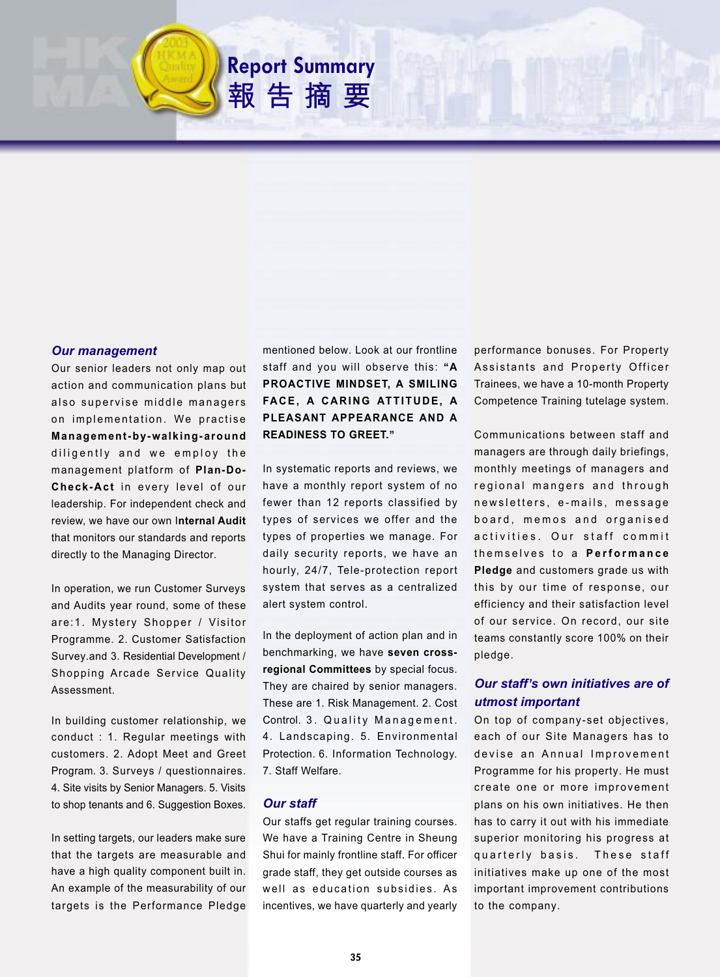

**Report Summary**

報告摘要

### *Our management*

Our senior leaders not only map out action and communication plans but also supervise middle managers on implementation. We practise **Management-by-walking-around** diligently and we employ the management platform of **Plan-Do-Check-Act** in every level of our leadership. For independent check and review, we have our own I**nternal Audit** that monitors our standards and reports directly to the Managing Director.

In operation, we run Customer Surveys and Audits year round, some of these are:1. Mystery Shopper / Visitor Programme. 2. Customer Satisfaction Survey.and 3. Residential Development / Shopping Arcade Service Quality Assessment.

In building customer relationship, we conduct : 1. Regular meetings with customers. 2. Adopt Meet and Greet Program. 3. Surveys / questionnaires. 4. Site visits by Senior Managers. 5. Visits to shop tenants and 6. Suggestion Boxes.

In setting targets, our leaders make sure that the targets are measurable and have a high quality component built in. An example of the measurability of our targets is the Performance Pledge

mentioned below. Look at our frontline staff and you will observe this: **"A PROACTIVE MINDSET, A SMILING FACE, A CARING ATTITUDE, A PLEASANT APPEARANCE AND A READINESS TO GREET."**

In systematic reports and reviews, we have a monthly report system of no fewer than 12 reports classified by types of services we offer and the types of properties we manage. For daily security reports, we have an hourly, 24/7, Tele-protection report system that serves as a centralized alert system control.

In the deployment of action plan and in benchmarking, we have **seven crossregional Committees** by special focus. They are chaired by senior managers. These are 1. Risk Management. 2. Cost Control. 3. Quality Management. 4. Landscaping. 5. Environmental Protection. 6. Information Technology. 7. Staff Welfare.

# *Our staff*

Our staffs get regular training courses. We have a Training Centre in Sheung Shui for mainly frontline staff. For officer grade staff, they get outside courses as well as education subsidies. As incentives, we have quarterly and yearly

performance bonuses. For Property Assistants and Property Officer Trainees, we have a 10-month Property Competence Training tutelage system.

Communications between staff and managers are through daily briefings, monthly meetings of managers and regional mangers and through newsletters, e-mails, message board, memos and organised activities. Our staff commit themselves to a **Performance Pledge** and customers grade us with this by our time of response, our efficiency and their satisfaction level of our service. On record, our site teams constantly score 100% on their pledge.

# *Our staff***'***s own initiatives are of utmost important*

On top of company-set objectives, each of our Site Managers has to devise an Annual Improvement Programme for his property. He must create one or more improvement plans on his own initiatives. He then has to carry it out with his immediate superior monitoring his progress at quarterly basis. These staff initiatives make up one of the most important improvement contributions to the company.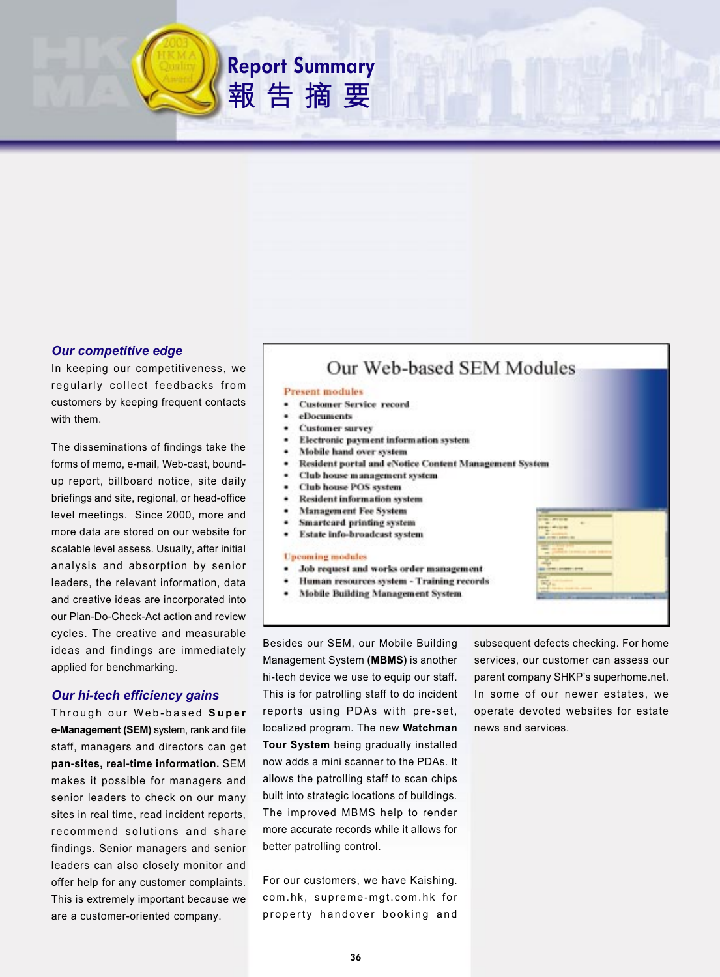# *Our competitive edge*

In keeping our competitiveness, we regularly collect feedbacks from customers by keeping frequent contacts with them.

The disseminations of findings take the forms of memo, e-mail, Web-cast, boundup report, billboard notice, site daily briefings and site, regional, or head-office level meetings. Since 2000, more and more data are stored on our website for scalable level assess. Usually, after initial analysis and absorption by senior leaders, the relevant information, data and creative ideas are incorporated into our Plan-Do-Check-Act action and review cycles. The creative and measurable ideas and findings are immediately applied for benchmarking.

# *Our hi-tech efficiency gains*

Through our Web-based **Super e-Management (SEM)** system, rank and file staff, managers and directors can get **pan-sites, real-time information.** SEM makes it possible for managers and senior leaders to check on our many sites in real time, read incident reports, recommend solutions and share findings. Senior managers and senior leaders can also closely monitor and offer help for any customer complaints. This is extremely important because we are a customer-oriented company.

# Our Web-based SEM Modules

#### **Present** modules

- **Customer Service record**
- eDocuments

**Report Summary**

報告摘要

- **Customer survey**
- Electronic payment information system
- ٠ Mobile hand over system
- Resident portal and eNotice Content Management System
- ٠ Club house management system
- **Club** house POS system ٠
- **Resident information system**
- **Management Fee System**
- Smartcard printing system
- Estate info-broadcast system

#### **Upcoming modules**

- Job request and works order management
- Human resources system Training records
- **Mobile Building Management System**

Besides our SEM, our Mobile Building Management System **(MBMS)** is another hi-tech device we use to equip our staff. This is for patrolling staff to do incident reports using PDAs with pre-set, localized program. The new **Watchman Tour System** being gradually installed now adds a mini scanner to the PDAs. It allows the patrolling staff to scan chips built into strategic locations of buildings. The improved MBMS help to render more accurate records while it allows for better patrolling control.

For our customers, we have Kaishing. com.hk, supreme-mgt.com.hk for property handover booking and

subsequent defects checking. For home services, our customer can assess our parent company SHKP's superhome.net. In some of our newer estates, we operate devoted websites for estate news and services.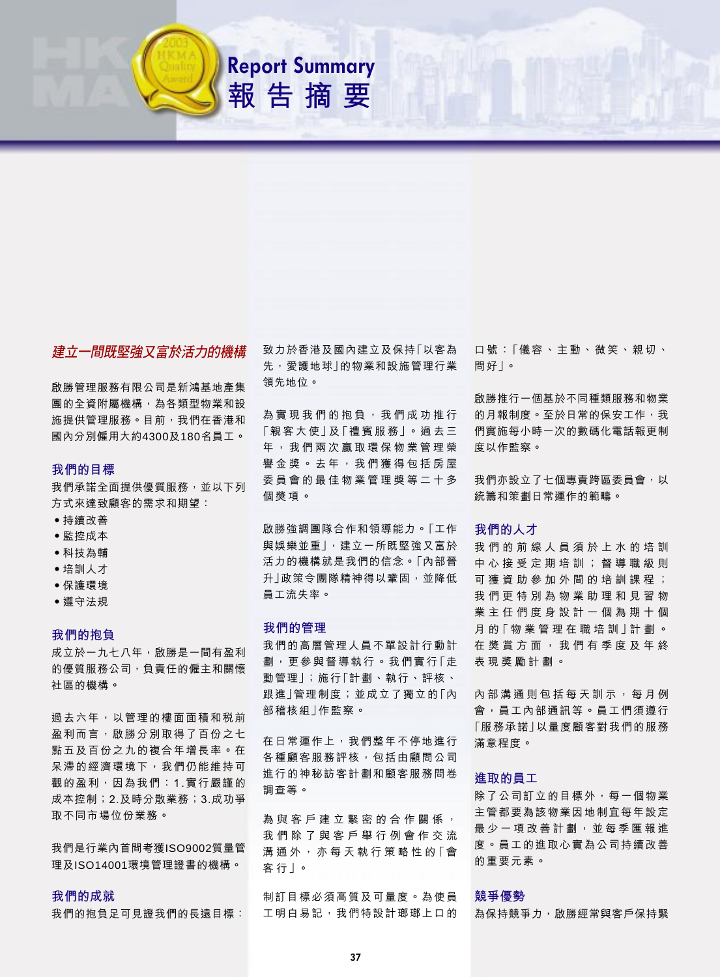

**Report Summary** 

報告摘要

# 建立一間既堅強又富於活力的機構

啟勝管理服務有限公司是新鴻基地產集 **團的全資附屬機構,為各類型物業和設** 施提供管理服務。目前,我們在香港和 國內分別僱用大約4300及180名員工。

# 我們的目標

我們承諾全面提供優質服務,並以下列 方式來達致顧客的需求和期望:

- 持續改善
- 監控成本
- 科技為輔
- 培訓人才
- 保護環境
- 遵守法規

### 我們的抱負

成立於一九七八年,啟勝是一間有盈利 的優質服務公司, 負責任的僱主和關懷 社區的機構。

過去六年,以管理的樓面面積和税前 盈利而言,啟勝分別取得了百份之七 點五及百份之九的複合年增長率。在 呆滯的經濟環境下,我們仍能維持可 觀的盈利,因為我們: 1.實行嚴謹的 成本控制; 2.及時分散業務; 3.成功爭 取不同市場位份業務。

我們是行業內首間考獲ISO9002質量管 理及ISO14001環境管理證書的機構。

# 我們的成就

我們的抱負足可見證我們的長遠目標:

致力於香港及國內建立及保持「以客為 先, 愛護地球 | 的物業和設施管理行業 領先地位。

為實現我們的抱負,我們成功推行 「親客大使」及「禮賓服務」。過去三 年,我們兩次贏取環保物業管理榮 譽金獎。去年,我們獲得包括房屋 委員會的最佳物業管理獎等二十多 個獎項。

啟勝強調團隊合作和領導能力。「工作 與娛樂並重」,建立一所既堅強又富於 活力的機構就是我們的信念。「內部晉 升」政策令團隊精神得以鞏固,並降低 員工流失率。

### 我們的管理

我們的高層管理人員不單設計行動計 劃,更參與督導執行。我們實行「走 動管理」;施行「計劃、執行、評核、 跟進」管理制度;並成立了獨立的「內 部稽核組」作監察。

在日常運作上,我們整年不停地進行 各種顧客服務評核,包括由顧問公司 進行的神秘訪客計劃和顧客服務問卷 調查等。

為與客戶建立緊密的合作關係, 我們除了與客戶舉行例會作交流 溝通外, 亦每天執行策略性的「會 客行丨。

制訂目標必須高質及可量度。為使員 工明白易記,我們特設計瑯瑯上口的

口號:「儀容、主動、微笑、親切、 問好|。

啟勝推行一個基於不同種類服務和物業 的月報制度。至於日常的保安工作,我 們實施每小時一次的數碼化電話報更制 度以作監察。

我們亦設立了七個專責跨區委員會,以 統籌和策劃日常渾作的範疇。

#### 我們的人才

我們的前線人員須於上水的培訓 中心接受定期培訓;督導職級則 可 獲 資 助 參 加 外 間 的 培 訓 課 程 ; 我 們 更 特 別 為 物 業 助 理 和 見 習 物 業 主 任 們 度 身 設 計 一 個 為 期 十 個 月的「物業管理在職培訓 | 計劃。 在 獎 賞 方 面 , 我 們 有 季 度 及 年 終 表現獎勵計劃。

內部溝通則包括每天訓示, 每月例 會,員工內部通訊等。員工們須遵行 「服務承諾」以量度顧客對我們的服務 滿意程度。

# 進取的員工

除了公司訂立的目標外,每一個物業 主管都要為該物業因地制宜每年設定 最少一項改善計劃,並每季匯報進 度。員工的進取心實為公司持續改善 的重要元素。

# 競爭優勢

為保持競爭力,啟勝經常與客戶保持緊